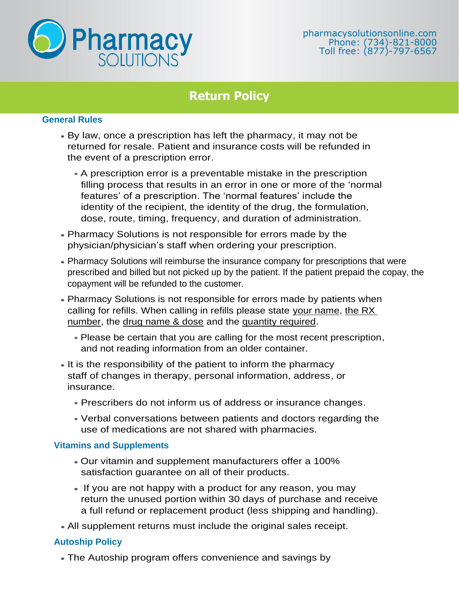

## **Return Policy**

## **General Rules**

- By law, once a prescription has left the pharmacy, it may not be returned for resale. Patient and insurance costs will be refunded in the event of a prescription error.
	- A prescription error is a preventable mistake in the prescription filling process that results in an error in one or more of the 'normal features' of a prescription. The 'normal features' include the identity of the recipient, the identity of the drug, the formulation, dose, route, timing, frequency, and duration of administration.
- Pharmacy Solutions is not responsible for errors made by the physician/physician's staff when ordering your prescription.
- Pharmacy Solutions will reimburse the insurance company for prescriptions that were prescribed and billed but not picked up by the patient. If the patient prepaid the copay, the copayment will be refunded to the customer.
- Pharmacy Solutions is not responsible for errors made by patients when calling for refills. When calling in refills please state your name, the RX number, the drug name & dose and the quantity required.
	- . Please be certain that you are calling for the most recent prescription, and not reading information from an older container.
- It is the responsibility of the patient to inform the pharmacy staff of changes in therapy, personal information, address, or insurance.
	- Prescribers do not inform us of address or insurance changes.
	- Verbal conversations between patients and doctors regarding the use of medications are not shared with pharmacies.

## **Vitamins and Supplements**

- Our vitamin and supplement manufacturers offer a 100% satisfaction guarantee on all of their products.
- If you are not happy with a product for any reason, you may return the unused portion within 30 days of purchase and receive a full refund or replacement product (less shipping and handling).
- All supplement returns must include the original sales receipt.

## **Autoship Policy**

• The Autoship program offers convenience and savings by